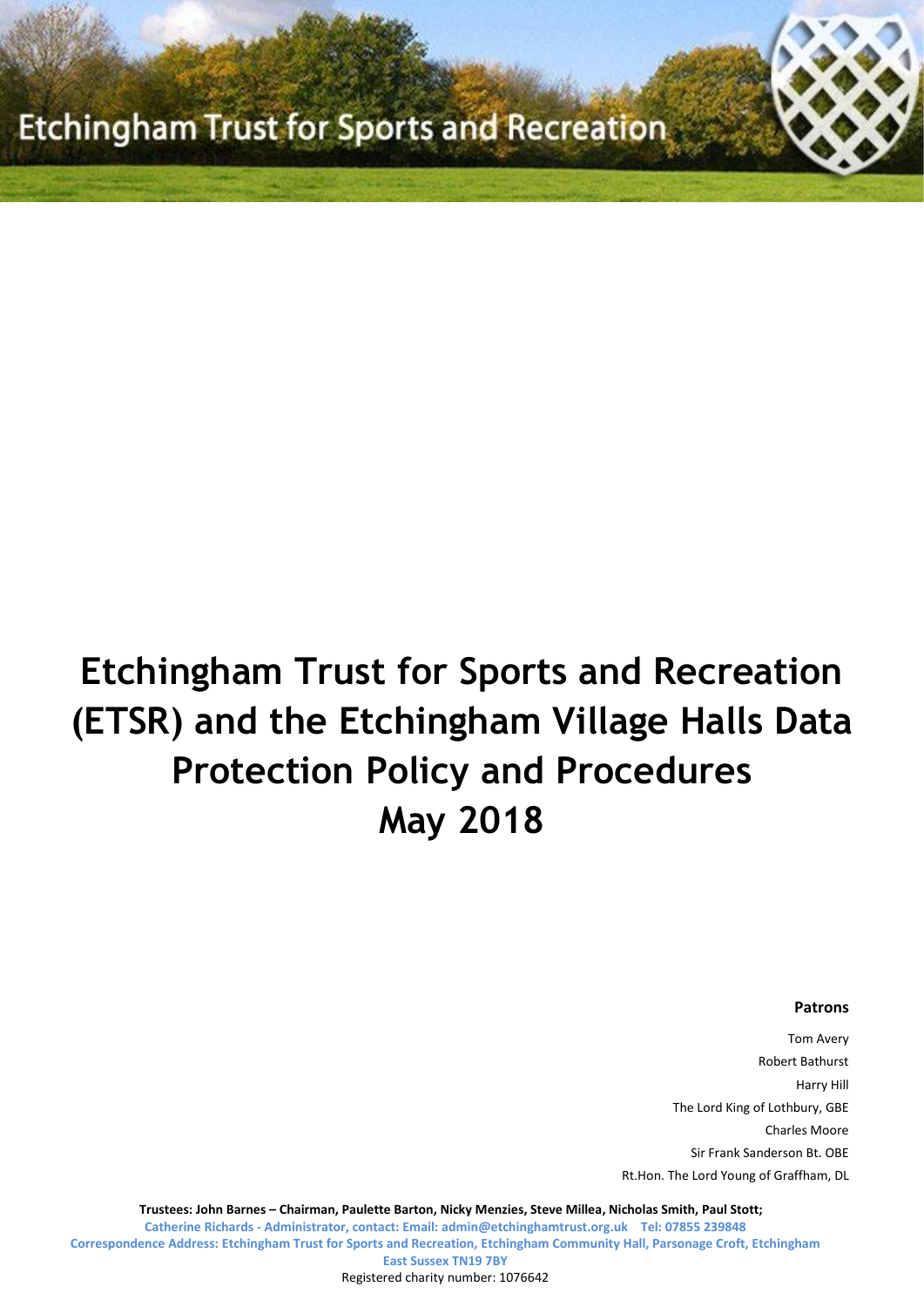# **Etchingham Trust for Sports and Recreation (ETSR) and the Etchingham Village Halls Data Protection Policy and Procedures May 2018**

#### **Patrons**

Tom Avery Robert Bathurst Harry Hill The Lord King of Lothbury, GBE Charles Moore Sir Frank Sanderson Bt. OBE Rt.Hon. The Lord Young of Graffham, DL

**Trustees: John Barnes – Chairman, Paulette Barton, Nicky Menzies, Steve Millea, Nicholas Smith, Paul Stott; Catherine Richards - Administrator, contact: Email[: admin@etchinghamtrust.org.uk](mailto:admin@etchinghamtrust.org.uk) Tel: 07855 239848 Correspondence Address: Etchingham Trust for Sports and Recreation, Etchingham Community Hall, Parsonage Croft, Etchingham East Sussex TN19 7BY**

Registered charity number: 1076642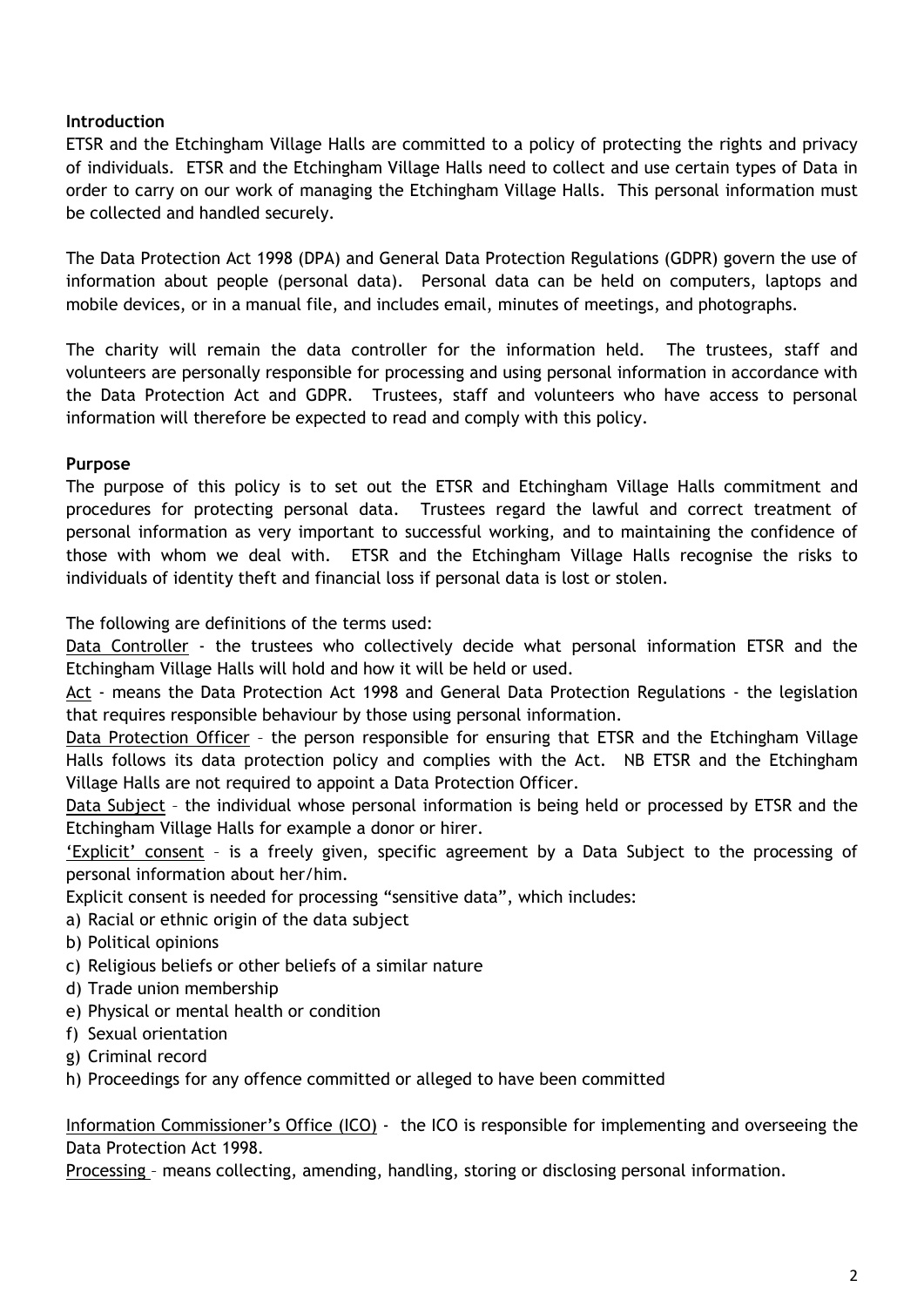# **Introduction**

ETSR and the Etchingham Village Halls are committed to a policy of protecting the rights and privacy of individuals. ETSR and the Etchingham Village Halls need to collect and use certain types of Data in order to carry on our work of managing the Etchingham Village Halls. This personal information must be collected and handled securely.

The Data Protection Act 1998 (DPA) and General Data Protection Regulations (GDPR) govern the use of information about people (personal data). Personal data can be held on computers, laptops and mobile devices, or in a manual file, and includes email, minutes of meetings, and photographs.

The charity will remain the data controller for the information held. The trustees, staff and volunteers are personally responsible for processing and using personal information in accordance with the Data Protection Act and GDPR. Trustees, staff and volunteers who have access to personal information will therefore be expected to read and comply with this policy.

# **Purpose**

The purpose of this policy is to set out the ETSR and Etchingham Village Halls commitment and procedures for protecting personal data. Trustees regard the lawful and correct treatment of personal information as very important to successful working, and to maintaining the confidence of those with whom we deal with. ETSR and the Etchingham Village Halls recognise the risks to individuals of identity theft and financial loss if personal data is lost or stolen.

The following are definitions of the terms used:

Data Controller - the trustees who collectively decide what personal information ETSR and the Etchingham Village Halls will hold and how it will be held or used.

Act - means the Data Protection Act 1998 and General Data Protection Regulations - the legislation that requires responsible behaviour by those using personal information.

Data Protection Officer – the person responsible for ensuring that ETSR and the Etchingham Village Halls follows its data protection policy and complies with the Act. NB ETSR and the Etchingham Village Halls are not required to appoint a Data Protection Officer.

Data Subject – the individual whose personal information is being held or processed by ETSR and the Etchingham Village Halls for example a donor or hirer.

'Explicit' consent – is a freely given, specific agreement by a Data Subject to the processing of personal information about her/him.

Explicit consent is needed for processing "sensitive data", which includes:

a) Racial or ethnic origin of the data subject

- b) Political opinions
- c) Religious beliefs or other beliefs of a similar nature
- d) Trade union membership
- e) Physical or mental health or condition
- f) Sexual orientation
- g) Criminal record
- h) Proceedings for any offence committed or alleged to have been committed

Information Commissioner's Office (ICO) - the ICO is responsible for implementing and overseeing the Data Protection Act 1998.

Processing – means collecting, amending, handling, storing or disclosing personal information.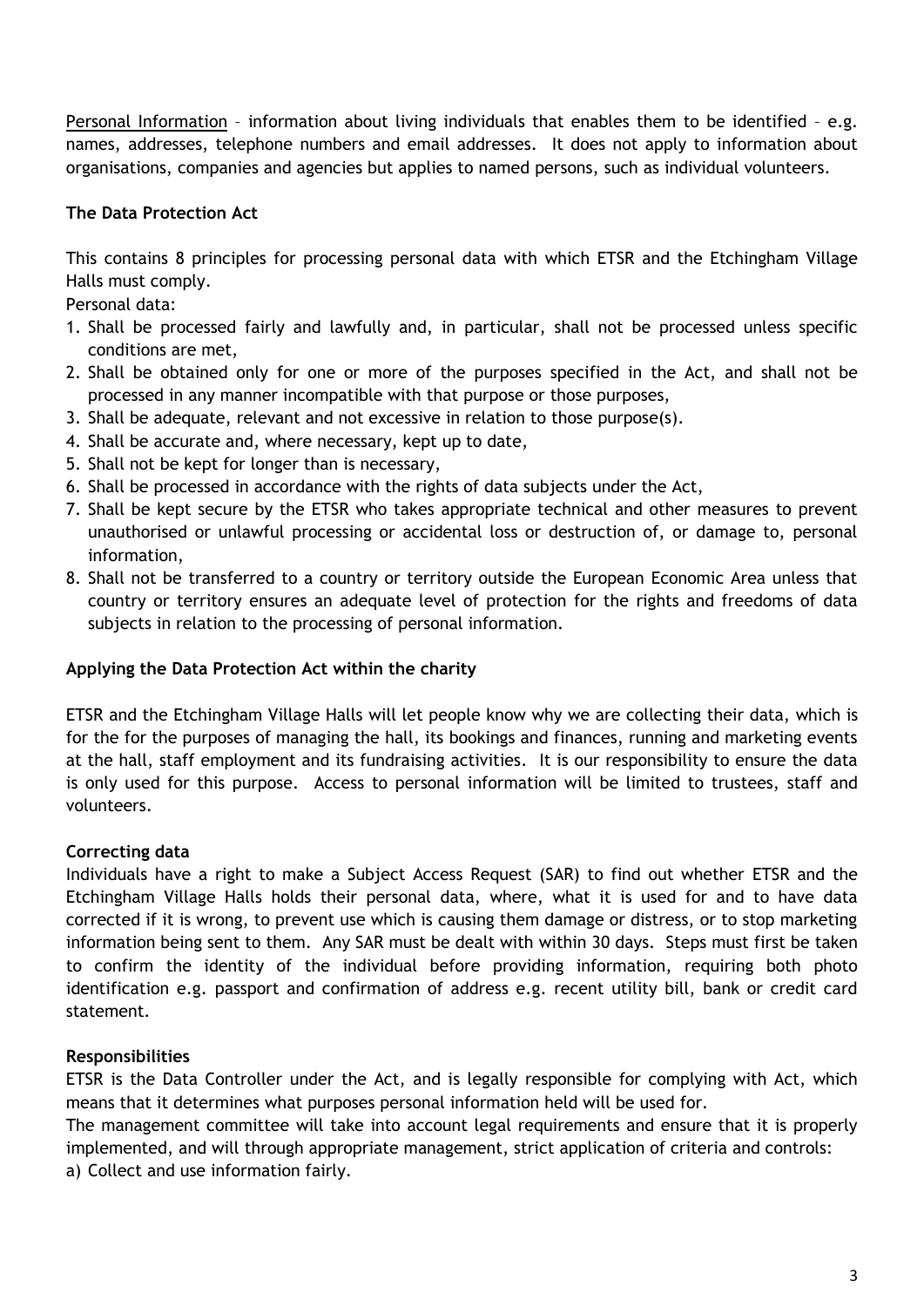Personal Information – information about living individuals that enables them to be identified – e.g. names, addresses, telephone numbers and email addresses. It does not apply to information about organisations, companies and agencies but applies to named persons, such as individual volunteers.

# **The Data Protection Act**

This contains 8 principles for processing personal data with which ETSR and the Etchingham Village Halls must comply.

Personal data:

- 1. Shall be processed fairly and lawfully and, in particular, shall not be processed unless specific conditions are met,
- 2. Shall be obtained only for one or more of the purposes specified in the Act, and shall not be processed in any manner incompatible with that purpose or those purposes,
- 3. Shall be adequate, relevant and not excessive in relation to those purpose(s).
- 4. Shall be accurate and, where necessary, kept up to date,
- 5. Shall not be kept for longer than is necessary,
- 6. Shall be processed in accordance with the rights of data subjects under the Act,
- 7. Shall be kept secure by the ETSR who takes appropriate technical and other measures to prevent unauthorised or unlawful processing or accidental loss or destruction of, or damage to, personal information,
- 8. Shall not be transferred to a country or territory outside the European Economic Area unless that country or territory ensures an adequate level of protection for the rights and freedoms of data subjects in relation to the processing of personal information.

#### **Applying the Data Protection Act within the charity**

ETSR and the Etchingham Village Halls will let people know why we are collecting their data, which is for the for the purposes of managing the hall, its bookings and finances, running and marketing events at the hall, staff employment and its fundraising activities. It is our responsibility to ensure the data is only used for this purpose. Access to personal information will be limited to trustees, staff and volunteers.

# **Correcting data**

Individuals have a right to make a Subject Access Request (SAR) to find out whether ETSR and the Etchingham Village Halls holds their personal data, where, what it is used for and to have data corrected if it is wrong, to prevent use which is causing them damage or distress, or to stop marketing information being sent to them. Any SAR must be dealt with within 30 days. Steps must first be taken to confirm the identity of the individual before providing information, requiring both photo identification e.g. passport and confirmation of address e.g. recent utility bill, bank or credit card statement.

# **Responsibilities**

ETSR is the Data Controller under the Act, and is legally responsible for complying with Act, which means that it determines what purposes personal information held will be used for.

The management committee will take into account legal requirements and ensure that it is properly implemented, and will through appropriate management, strict application of criteria and controls: a) Collect and use information fairly.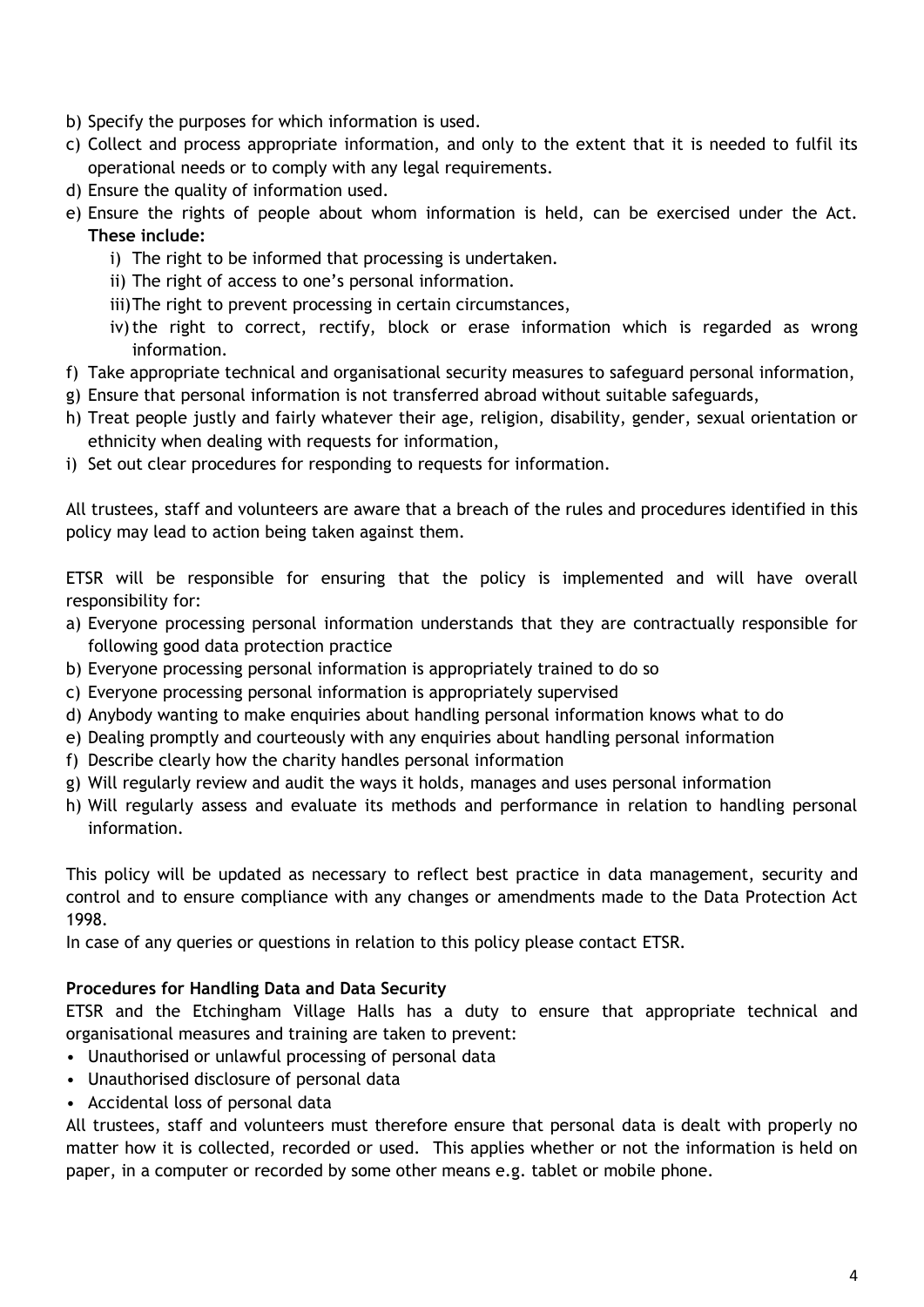- b) Specify the purposes for which information is used.
- c) Collect and process appropriate information, and only to the extent that it is needed to fulfil its operational needs or to comply with any legal requirements.
- d) Ensure the quality of information used.
- e) Ensure the rights of people about whom information is held, can be exercised under the Act. **These include:** 
	- i) The right to be informed that processing is undertaken.
	- ii) The right of access to one's personal information.
	- iii)The right to prevent processing in certain circumstances,
	- iv) the right to correct, rectify, block or erase information which is regarded as wrong information.
- f) Take appropriate technical and organisational security measures to safeguard personal information,
- g) Ensure that personal information is not transferred abroad without suitable safeguards,
- h) Treat people justly and fairly whatever their age, religion, disability, gender, sexual orientation or ethnicity when dealing with requests for information,
- i) Set out clear procedures for responding to requests for information.

All trustees, staff and volunteers are aware that a breach of the rules and procedures identified in this policy may lead to action being taken against them.

ETSR will be responsible for ensuring that the policy is implemented and will have overall responsibility for:

- a) Everyone processing personal information understands that they are contractually responsible for following good data protection practice
- b) Everyone processing personal information is appropriately trained to do so
- c) Everyone processing personal information is appropriately supervised
- d) Anybody wanting to make enquiries about handling personal information knows what to do
- e) Dealing promptly and courteously with any enquiries about handling personal information
- f) Describe clearly how the charity handles personal information
- g) Will regularly review and audit the ways it holds, manages and uses personal information
- h) Will regularly assess and evaluate its methods and performance in relation to handling personal information.

This policy will be updated as necessary to reflect best practice in data management, security and control and to ensure compliance with any changes or amendments made to the Data Protection Act 1998.

In case of any queries or questions in relation to this policy please contact ETSR.

# **Procedures for Handling Data and Data Security**

ETSR and the Etchingham Village Halls has a duty to ensure that appropriate technical and organisational measures and training are taken to prevent:

- Unauthorised or unlawful processing of personal data
- Unauthorised disclosure of personal data
- Accidental loss of personal data

All trustees, staff and volunteers must therefore ensure that personal data is dealt with properly no matter how it is collected, recorded or used. This applies whether or not the information is held on paper, in a computer or recorded by some other means e.g. tablet or mobile phone.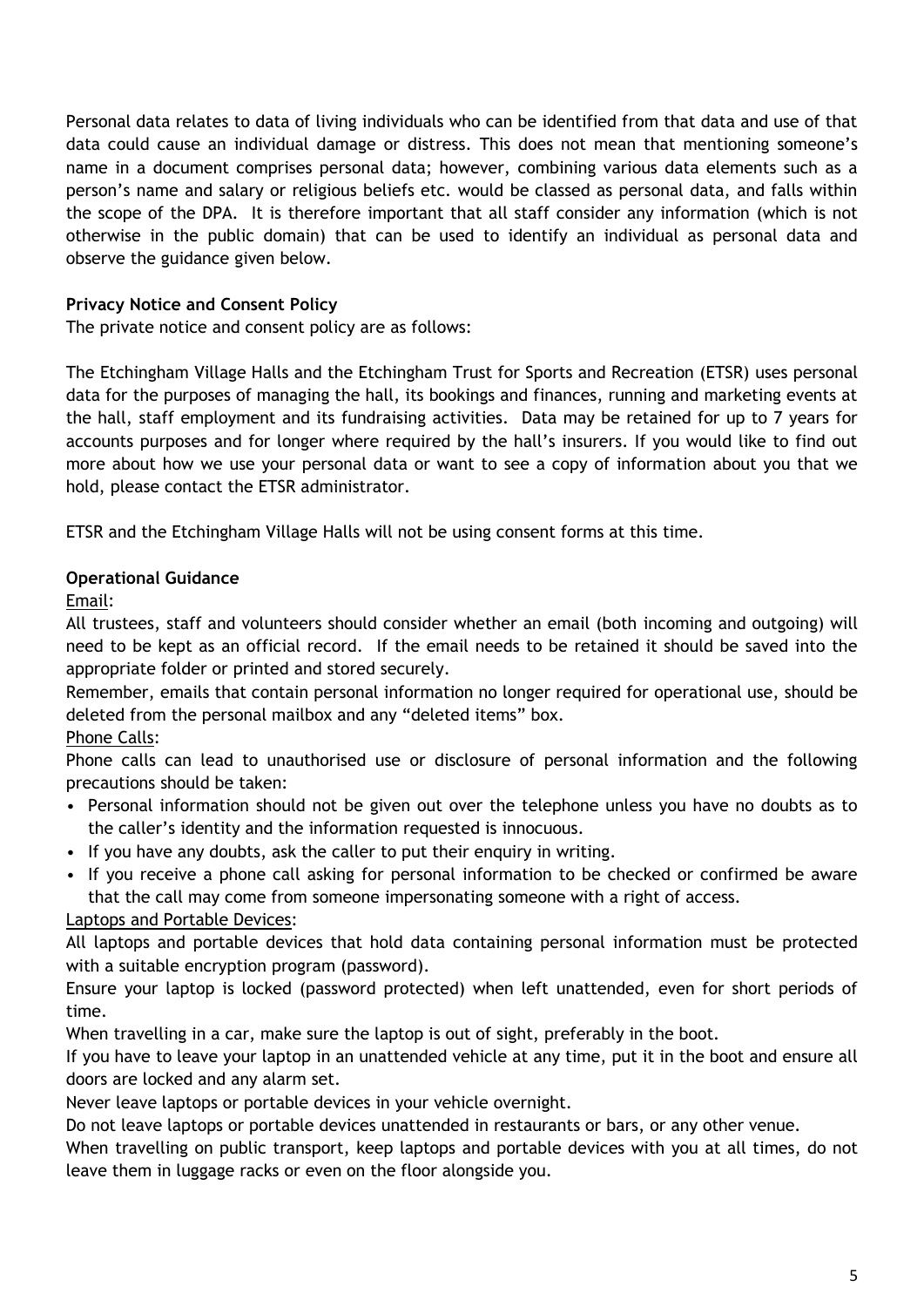Personal data relates to data of living individuals who can be identified from that data and use of that data could cause an individual damage or distress. This does not mean that mentioning someone's name in a document comprises personal data; however, combining various data elements such as a person's name and salary or religious beliefs etc. would be classed as personal data, and falls within the scope of the DPA. It is therefore important that all staff consider any information (which is not otherwise in the public domain) that can be used to identify an individual as personal data and observe the guidance given below.

# **Privacy Notice and Consent Policy**

The private notice and consent policy are as follows:

The Etchingham Village Halls and the Etchingham Trust for Sports and Recreation (ETSR) uses personal data for the purposes of managing the hall, its bookings and finances, running and marketing events at the hall, staff employment and its fundraising activities. Data may be retained for up to 7 years for accounts purposes and for longer where required by the hall's insurers. If you would like to find out more about how we use your personal data or want to see a copy of information about you that we hold, please contact the ETSR administrator.

ETSR and the Etchingham Village Halls will not be using consent forms at this time.

# **Operational Guidance**

Email:

All trustees, staff and volunteers should consider whether an email (both incoming and outgoing) will need to be kept as an official record. If the email needs to be retained it should be saved into the appropriate folder or printed and stored securely.

Remember, emails that contain personal information no longer required for operational use, should be deleted from the personal mailbox and any "deleted items" box.

# Phone Calls:

Phone calls can lead to unauthorised use or disclosure of personal information and the following precautions should be taken:

- Personal information should not be given out over the telephone unless you have no doubts as to the caller's identity and the information requested is innocuous.
- If you have any doubts, ask the caller to put their enquiry in writing.
- If you receive a phone call asking for personal information to be checked or confirmed be aware that the call may come from someone impersonating someone with a right of access.

# Laptops and Portable Devices:

All laptops and portable devices that hold data containing personal information must be protected with a suitable encryption program (password).

Ensure your laptop is locked (password protected) when left unattended, even for short periods of time.

When travelling in a car, make sure the laptop is out of sight, preferably in the boot.

If you have to leave your laptop in an unattended vehicle at any time, put it in the boot and ensure all doors are locked and any alarm set.

Never leave laptops or portable devices in your vehicle overnight.

Do not leave laptops or portable devices unattended in restaurants or bars, or any other venue.

When travelling on public transport, keep laptops and portable devices with you at all times, do not leave them in luggage racks or even on the floor alongside you.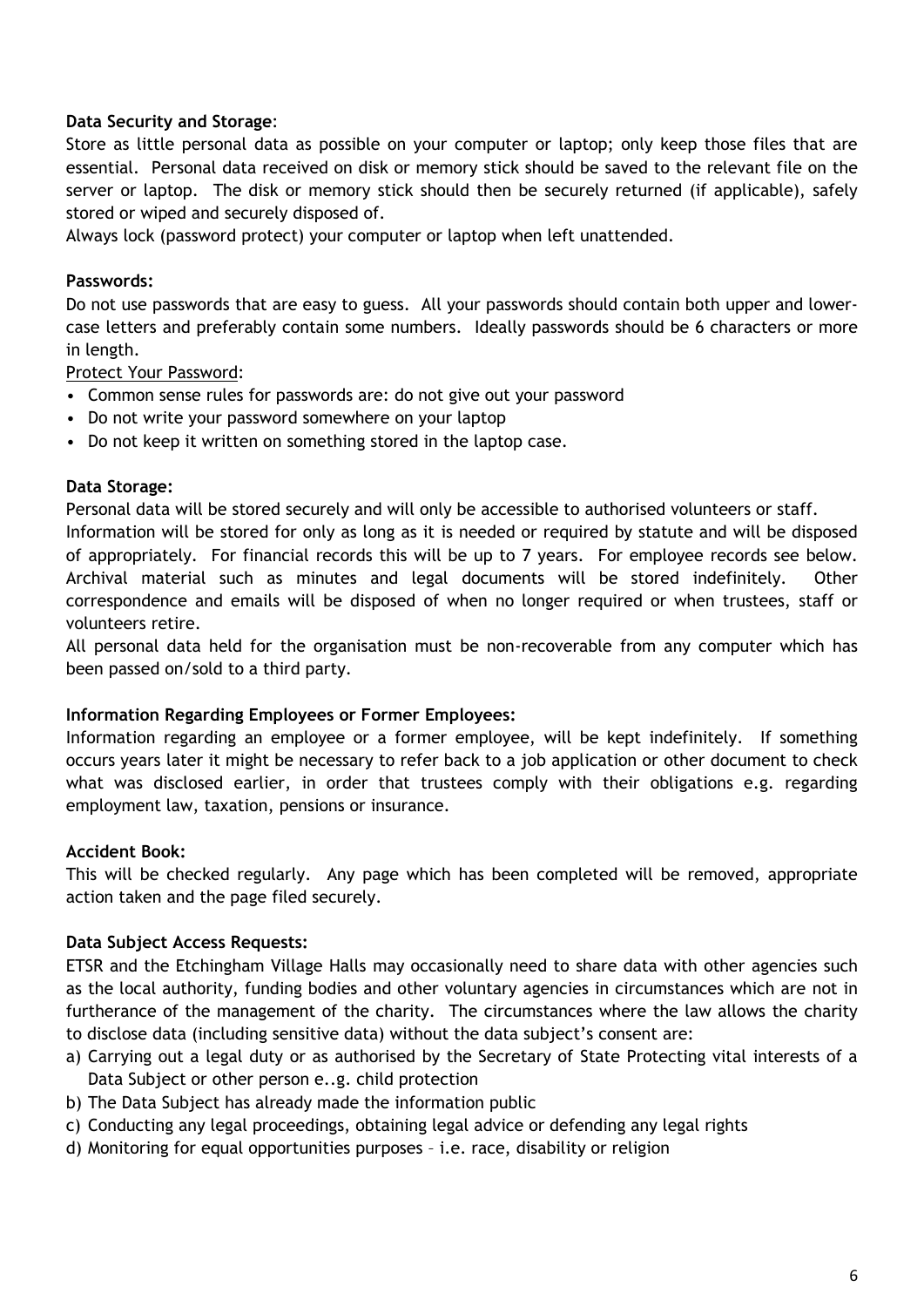#### **Data Security and Storage**:

Store as little personal data as possible on your computer or laptop; only keep those files that are essential. Personal data received on disk or memory stick should be saved to the relevant file on the server or laptop. The disk or memory stick should then be securely returned (if applicable), safely stored or wiped and securely disposed of.

Always lock (password protect) your computer or laptop when left unattended.

#### **Passwords:**

Do not use passwords that are easy to guess. All your passwords should contain both upper and lowercase letters and preferably contain some numbers. Ideally passwords should be 6 characters or more in length.

Protect Your Password:

- Common sense rules for passwords are: do not give out your password
- Do not write your password somewhere on your laptop
- Do not keep it written on something stored in the laptop case.

#### **Data Storage:**

Personal data will be stored securely and will only be accessible to authorised volunteers or staff. Information will be stored for only as long as it is needed or required by statute and will be disposed of appropriately. For financial records this will be up to 7 years. For employee records see below. Archival material such as minutes and legal documents will be stored indefinitely. Other correspondence and emails will be disposed of when no longer required or when trustees, staff or volunteers retire.

All personal data held for the organisation must be non-recoverable from any computer which has been passed on/sold to a third party.

#### **Information Regarding Employees or Former Employees:**

Information regarding an employee or a former employee, will be kept indefinitely. If something occurs years later it might be necessary to refer back to a job application or other document to check what was disclosed earlier, in order that trustees comply with their obligations e.g. regarding employment law, taxation, pensions or insurance.

#### **Accident Book:**

This will be checked regularly. Any page which has been completed will be removed, appropriate action taken and the page filed securely.

#### **Data Subject Access Requests:**

ETSR and the Etchingham Village Halls may occasionally need to share data with other agencies such as the local authority, funding bodies and other voluntary agencies in circumstances which are not in furtherance of the management of the charity. The circumstances where the law allows the charity to disclose data (including sensitive data) without the data subject's consent are:

- a) Carrying out a legal duty or as authorised by the Secretary of State Protecting vital interests of a Data Subject or other person e..g. child protection
- b) The Data Subject has already made the information public
- c) Conducting any legal proceedings, obtaining legal advice or defending any legal rights
- d) Monitoring for equal opportunities purposes i.e. race, disability or religion